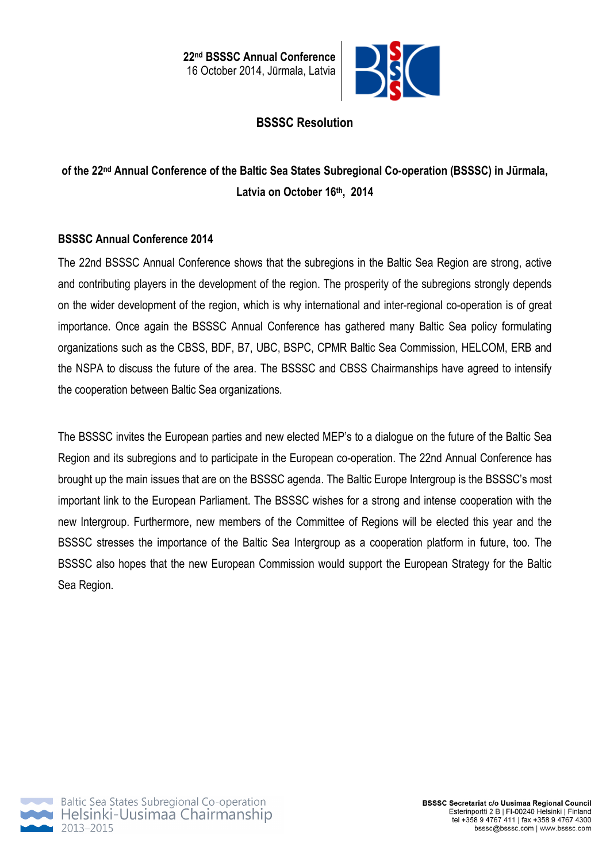

## **BSSSC Resolution**

# **of the 22nd Annual Conference of the Baltic Sea States Subregional Co-operation (BSSSC) in Jūrmala, Latvia on October 16th, 2014**

## **BSSSC Annual Conference 2014**

The 22nd BSSSC Annual Conference shows that the subregions in the Baltic Sea Region are strong, active and contributing players in the development of the region. The prosperity of the subregions strongly depends on the wider development of the region, which is why international and inter-regional co-operation is of great importance. Once again the BSSSC Annual Conference has gathered many Baltic Sea policy formulating organizations such as the CBSS, BDF, B7, UBC, BSPC, CPMR Baltic Sea Commission, HELCOM, ERB and the NSPA to discuss the future of the area. The BSSSC and CBSS Chairmanships have agreed to intensify the cooperation between Baltic Sea organizations.

The BSSSC invites the European parties and new elected MEP's to a dialogue on the future of the Baltic Sea Region and its subregions and to participate in the European co-operation. The 22nd Annual Conference has brought up the main issues that are on the BSSSC agenda. The Baltic Europe Intergroup is the BSSSC's most important link to the European Parliament. The BSSSC wishes for a strong and intense cooperation with the new Intergroup. Furthermore, new members of the Committee of Regions will be elected this year and the BSSSC stresses the importance of the Baltic Sea Intergroup as a cooperation platform in future, too. The BSSSC also hopes that the new European Commission would support the European Strategy for the Baltic Sea Region.

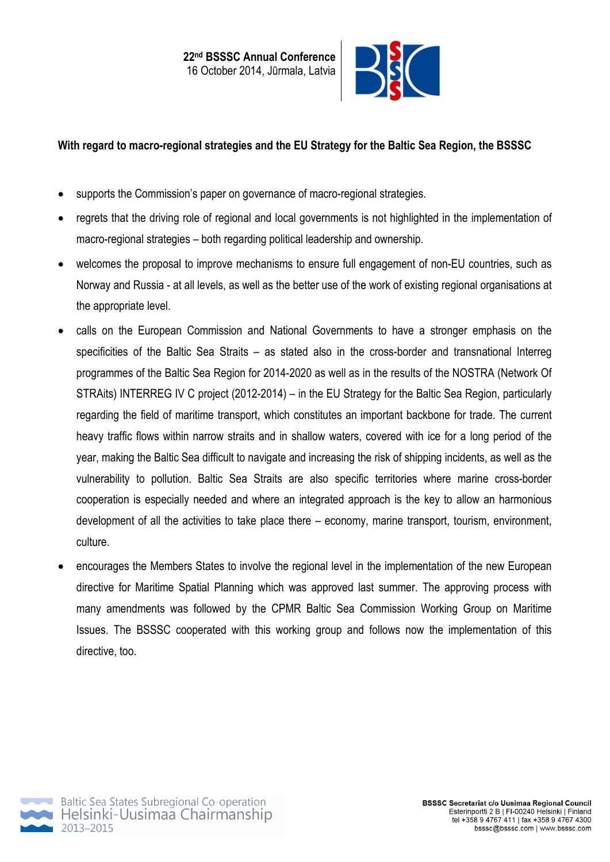

## **With regard to macro-regional strategies and the EU Strategy for the Baltic Sea Region, the BSSSC**

- supports the Commission's paper on governance of macro-regional strategies.
- regrets that the driving role of regional and local governments is not highlighted in the implementation of macro-regional strategies – both regarding political leadership and ownership.
- welcomes the proposal to improve mechanisms to ensure full engagement of non-EU countries, such as Norway and Russia - at all levels, as well as the better use of the work of existing regional organisations at the appropriate level.
- calls on the European Commission and National Governments to have a stronger emphasis on the specificities of the Baltic Sea Straits – as stated also in the cross-border and transnational Interreg programmes of the Baltic Sea Region for 2014-2020 as well as in the results of the NOSTRA (Network Of STRAits) INTERREG IV C project (2012-2014) – in the EU Strategy for the Baltic Sea Region, particularly regarding the field of maritime transport, which constitutes an important backbone for trade. The current heavy traffic flows within narrow straits and in shallow waters, covered with ice for a long period of the year, making the Baltic Sea difficult to navigate and increasing the risk of shipping incidents, as well as the vulnerability to pollution. Baltic Sea Straits are also specific territories where marine cross-border cooperation is especially needed and where an integrated approach is the key to allow an harmonious development of all the activities to take place there – economy, marine transport, tourism, environment, culture.
- encourages the Members States to involve the regional level in the implementation of the new European directive for Maritime Spatial Planning which was approved last summer. The approving process with many amendments was followed by the CPMR Baltic Sea Commission Working Group on Maritime Issues. The BSSSC cooperated with this working group and follows now the implementation of this directive, too.

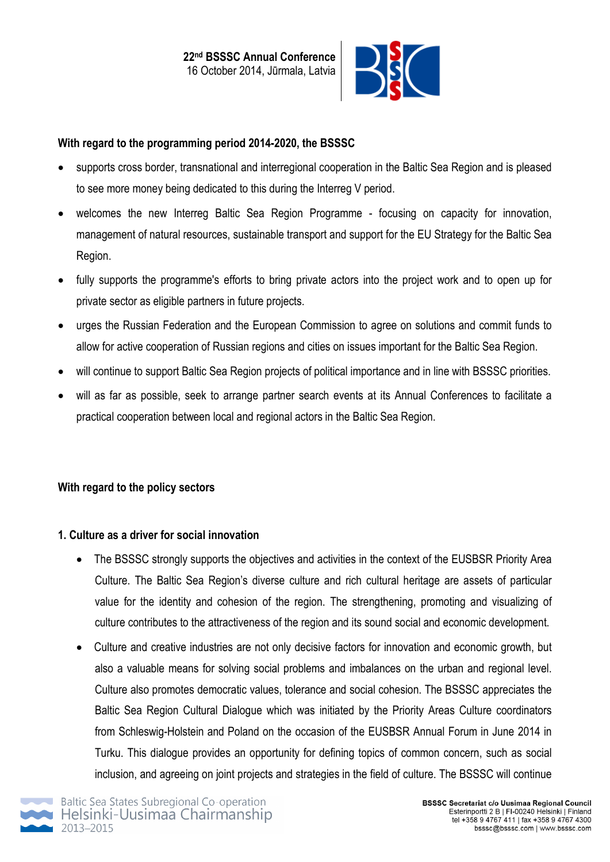

### **With regard to the programming period 2014-2020, the BSSSC**

- supports cross border, transnational and interregional cooperation in the Baltic Sea Region and is pleased to see more money being dedicated to this during the Interreg V period.
- welcomes the new Interreg Baltic Sea Region Programme focusing on capacity for innovation, management of natural resources, sustainable transport and support for the EU Strategy for the Baltic Sea Region.
- fully supports the programme's efforts to bring private actors into the project work and to open up for private sector as eligible partners in future projects.
- urges the Russian Federation and the European Commission to agree on solutions and commit funds to allow for active cooperation of Russian regions and cities on issues important for the Baltic Sea Region.
- will continue to support Baltic Sea Region projects of political importance and in line with BSSSC priorities.
- will as far as possible, seek to arrange partner search events at its Annual Conferences to facilitate a practical cooperation between local and regional actors in the Baltic Sea Region.

## **With regard to the policy sectors**

#### **1. Culture as a driver for social innovation**

- The BSSSC strongly supports the objectives and activities in the context of the EUSBSR Priority Area Culture. The Baltic Sea Region's diverse culture and rich cultural heritage are assets of particular value for the identity and cohesion of the region. The strengthening, promoting and visualizing of culture contributes to the attractiveness of the region and its sound social and economic development.
- Culture and creative industries are not only decisive factors for innovation and economic growth, but also a valuable means for solving social problems and imbalances on the urban and regional level. Culture also promotes democratic values, tolerance and social cohesion. The BSSSC appreciates the Baltic Sea Region Cultural Dialogue which was initiated by the Priority Areas Culture coordinators from Schleswig-Holstein and Poland on the occasion of the EUSBSR Annual Forum in June 2014 in Turku. This dialogue provides an opportunity for defining topics of common concern, such as social inclusion, and agreeing on joint projects and strategies in the field of culture. The BSSSC will continue

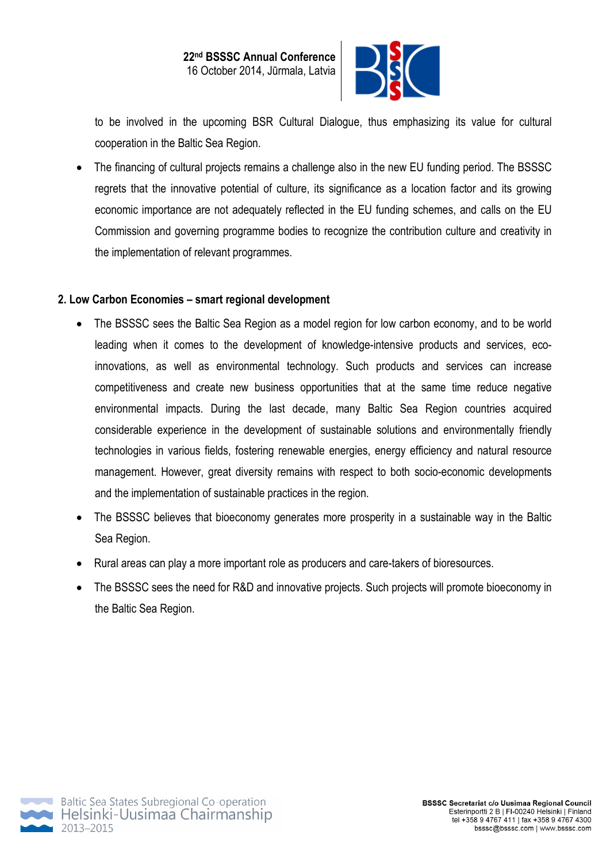

to be involved in the upcoming BSR Cultural Dialogue, thus emphasizing its value for cultural cooperation in the Baltic Sea Region.

• The financing of cultural projects remains a challenge also in the new EU funding period. The BSSSC regrets that the innovative potential of culture, its significance as a location factor and its growing economic importance are not adequately reflected in the EU funding schemes, and calls on the EU Commission and governing programme bodies to recognize the contribution culture and creativity in the implementation of relevant programmes.

#### **2. Low Carbon Economies – smart regional development**

- The BSSSC sees the Baltic Sea Region as a model region for low carbon economy, and to be world leading when it comes to the development of knowledge-intensive products and services, ecoinnovations, as well as environmental technology. Such products and services can increase competitiveness and create new business opportunities that at the same time reduce negative environmental impacts. During the last decade, many Baltic Sea Region countries acquired considerable experience in the development of sustainable solutions and environmentally friendly technologies in various fields, fostering renewable energies, energy efficiency and natural resource management. However, great diversity remains with respect to both socio-economic developments and the implementation of sustainable practices in the region.
- The BSSSC believes that bioeconomy generates more prosperity in a sustainable way in the Baltic Sea Region.
- Rural areas can play a more important role as producers and care-takers of bioresources.
- The BSSSC sees the need for R&D and innovative projects. Such projects will promote bioeconomy in the Baltic Sea Region.

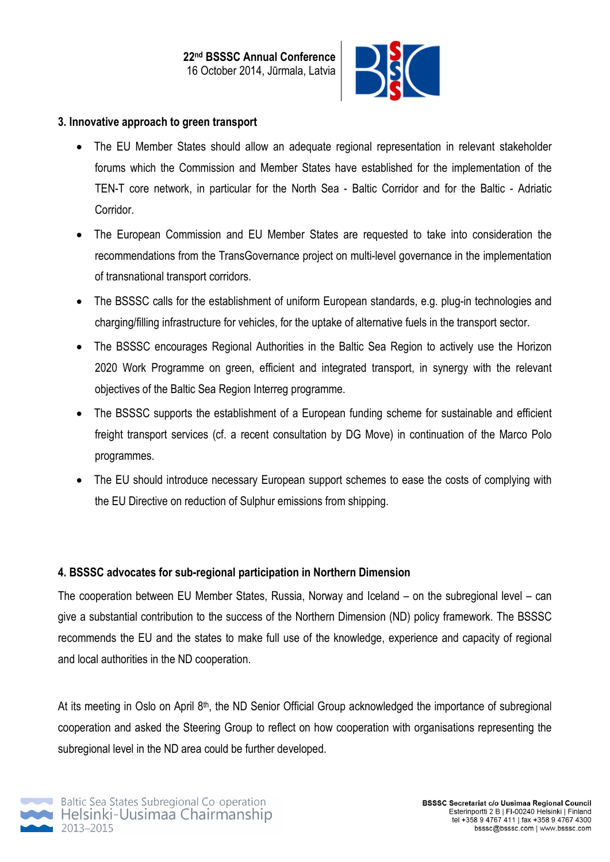

#### **3. Innovative approach to green transport**

- The EU Member States should allow an adequate regional representation in relevant stakeholder forums which the Commission and Member States have established for the implementation of the TEN-T core network, in particular for the North Sea - Baltic Corridor and for the Baltic - Adriatic Corridor.
- The European Commission and EU Member States are requested to take into consideration the recommendations from the TransGovernance project on multi-level governance in the implementation of transnational transport corridors.
- The BSSSC calls for the establishment of uniform European standards, e.g. plug-in technologies and charging/filling infrastructure for vehicles, for the uptake of alternative fuels in the transport sector.
- The BSSSC encourages Regional Authorities in the Baltic Sea Region to actively use the Horizon 2020 Work Programme on green, efficient and integrated transport, in synergy with the relevant objectives of the Baltic Sea Region Interreg programme.
- The BSSSC supports the establishment of a European funding scheme for sustainable and efficient freight transport services (cf. a recent consultation by DG Move) in continuation of the Marco Polo programmes.
- The EU should introduce necessary European support schemes to ease the costs of complying with the EU Directive on reduction of Sulphur emissions from shipping.

#### **4. BSSSC advocates for sub-regional participation in Northern Dimension**

The cooperation between EU Member States, Russia, Norway and Iceland – on the subregional level – can give a substantial contribution to the success of the Northern Dimension (ND) policy framework. The BSSSC recommends the EU and the states to make full use of the knowledge, experience and capacity of regional and local authorities in the ND cooperation.

At its meeting in Oslo on April 8th, the ND Senior Official Group acknowledged the importance of subregional cooperation and asked the Steering Group to reflect on how cooperation with organisations representing the subregional level in the ND area could be further developed.